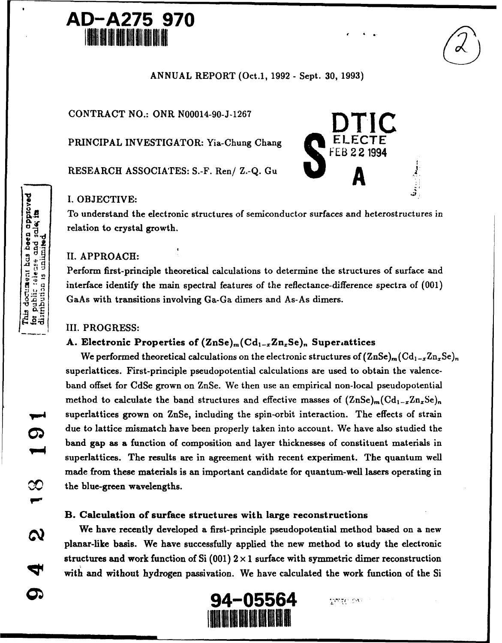



**CONTRACT NO.: ONR N00014-90-J-1267** 

PRINCIPAL INVESTIGATOR: Yia-Chung Chang

RESEARCH ASSOCIATES: S.-F. Ren/ Z.-Q. Gu



To understand the electronic structures of semiconductor surfaces and heterostructures in relation to crystal growth.

The Matter of Telation to crysta<br>
The Matter of The Matter of The Matter of the Matter of The Matter of The Matter of The Matter of The Matter of The Matter of The Matter of The Matter of The Matter of The Matter of The Ma Perform first-principle theoretical calculations to determine the structures of surface and interface identify the main spectral features of the reflectance-difference spectra of (001) Best of the Maritimes of the Marine of the Separate Calculations involving Ga-Ga dimers and As-As dimers.<br>
Separate of the reflectance diffusions involving Ga-Ga dimers and As-As dimers.

#### III. PROGRESS:

### A. Electronic Properties of  $(ZnSe)_m(Cd_{1-x}Zn_xSe)_n$  Superiattices

We performed theoretical calculations on the electronic structures of  $(ZnSe)_m(Cd_{1-x}Zn_xSe)_n$ superlattices. First-principle pseudopotential calculations are used to obtain the valenceband offset for CdSe grown on ZnSe. We then use an empirical non-local pseudopotential method to calculate the band structures and effective masses of  $(ZnSe)_m(Cd_{1-x}Zn_xSe)_n$ superlattices grown on ZnSe, including the spin-orbit interaction. The effects of strain due to lattice mismatch have been properly taken into account. We have also studied the band gap as a function of composition and layer thicknesses of constituent materials in superlattices. The results are in agreement with recent experiment. The quantum well made from these materials is an important candidate for quantum-well lasers operating in the blue-green wavelengths.

# B. Calculation of surface structures with large reconstructions

We have recently developed a first-principle pseudopotential method based on a new planar-like basis. We have successfully applied the new method to study the electronic structures and work function of Si (001)  $2 \times 1$  surface with symmetric dimer reconstruction with and without hydrogen passivation. We have calculated the work function of the Si



<u> က</u>

 $\infty$  .

 $\boldsymbol{\omega}$ 

9

0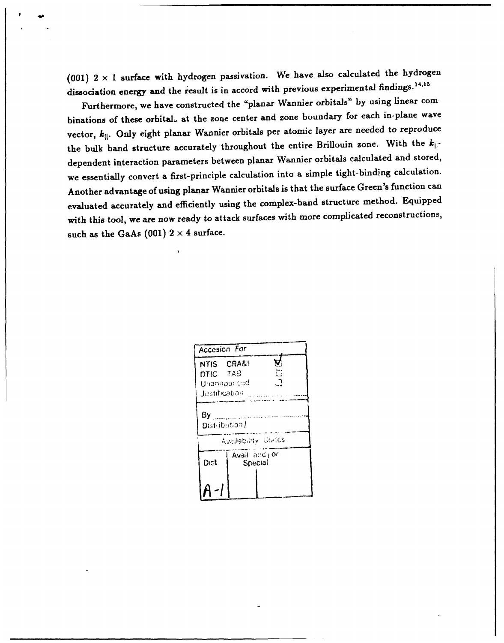(001)  $2 \times 1$  surface with hydrogen passivation. We have also calculated the hydrogen dissociation energy and the result is in accord with previous experimental findings.<sup>14,15</sup>

Furthermore, we have constructed the "planar Wannier orbitals" by using linear combinations of these orbital. at the zone center and zone boundary for each in-plane wave vector,  $k_{||}$ . Only eight planar Wannier orbitals per atomic layer are needed to reproduce the bulk band structure accurately throughout the entire Brillouin zone. With the  $k_{\parallel}$ . dependent interaction parameters between planar Wannier orbitals calculated and stored, we essentially convert a first-principle calculation into a simple tight-binding calculation. Another advantage of using planar Wannier orbitals is that the surface Green's function can evaluated accurately and efficiently using the complex-band structure method. Equipped with this tool, we are now ready to attack surfaces with more complicated reconstructions, such as the GaAs (001)  $2 \times 4$  surface.

| Accesion For             |                          |    |  |
|--------------------------|--------------------------|----|--|
| NTIS CRA&!               |                          |    |  |
| DTIC TAB                 |                          | Ē. |  |
| ி<br>Unamhour.ced        |                          |    |  |
| Justification            |                          |    |  |
| Вy<br>Distribution/      |                          |    |  |
| <b>Availabuty Colles</b> |                          |    |  |
| Dist                     | Avail and jor<br>Special |    |  |
|                          |                          |    |  |